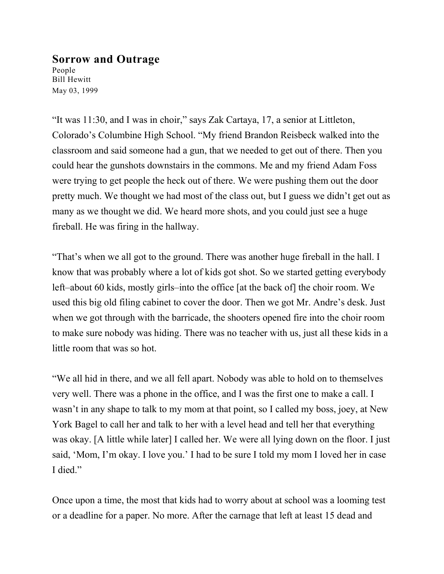## **Sorrow and Outrage**

People Bill Hewitt May 03, 1999

"It was 11:30, and I was in choir," says Zak Cartaya, 17, a senior at Littleton, Colorado's Columbine High School. "My friend Brandon Reisbeck walked into the classroom and said someone had a gun, that we needed to get out of there. Then you could hear the gunshots downstairs in the commons. Me and my friend Adam Foss were trying to get people the heck out of there. We were pushing them out the door pretty much. We thought we had most of the class out, but I guess we didn't get out as many as we thought we did. We heard more shots, and you could just see a huge fireball. He was firing in the hallway.

"That's when we all got to the ground. There was another huge fireball in the hall. I know that was probably where a lot of kids got shot. So we started getting everybody left–about 60 kids, mostly girls–into the office [at the back of] the choir room. We used this big old filing cabinet to cover the door. Then we got Mr. Andre's desk. Just when we got through with the barricade, the shooters opened fire into the choir room to make sure nobody was hiding. There was no teacher with us, just all these kids in a little room that was so hot.

"We all hid in there, and we all fell apart. Nobody was able to hold on to themselves very well. There was a phone in the office, and I was the first one to make a call. I wasn't in any shape to talk to my mom at that point, so I called my boss, joey, at New York Bagel to call her and talk to her with a level head and tell her that everything was okay. [A little while later] I called her. We were all lying down on the floor. I just said, 'Mom, I'm okay. I love you.' I had to be sure I told my mom I loved her in case I died."

Once upon a time, the most that kids had to worry about at school was a looming test or a deadline for a paper. No more. After the carnage that left at least 15 dead and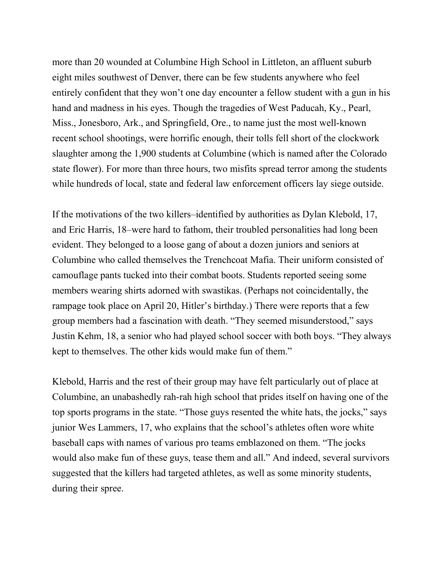more than 20 wounded at Columbine High School in Littleton, an affluent suburb eight miles southwest of Denver, there can be few students anywhere who feel entirely confident that they won't one day encounter a fellow student with a gun in his hand and madness in his eyes. Though the tragedies of West Paducah, Ky., Pearl, Miss., Jonesboro, Ark., and Springfield, Ore., to name just the most well-known recent school shootings, were horrific enough, their tolls fell short of the clockwork slaughter among the 1,900 students at Columbine (which is named after the Colorado state flower). For more than three hours, two misfits spread terror among the students while hundreds of local, state and federal law enforcement officers lay siege outside.

If the motivations of the two killers–identified by authorities as Dylan Klebold, 17, and Eric Harris, 18–were hard to fathom, their troubled personalities had long been evident. They belonged to a loose gang of about a dozen juniors and seniors at Columbine who called themselves the Trenchcoat Mafia. Their uniform consisted of camouflage pants tucked into their combat boots. Students reported seeing some members wearing shirts adorned with swastikas. (Perhaps not coincidentally, the rampage took place on April 20, Hitler's birthday.) There were reports that a few group members had a fascination with death. "They seemed misunderstood," says Justin Kehm, 18, a senior who had played school soccer with both boys. "They always kept to themselves. The other kids would make fun of them."

Klebold, Harris and the rest of their group may have felt particularly out of place at Columbine, an unabashedly rah-rah high school that prides itself on having one of the top sports programs in the state. "Those guys resented the white hats, the jocks," says junior Wes Lammers, 17, who explains that the school's athletes often wore white baseball caps with names of various pro teams emblazoned on them. "The jocks would also make fun of these guys, tease them and all." And indeed, several survivors suggested that the killers had targeted athletes, as well as some minority students, during their spree.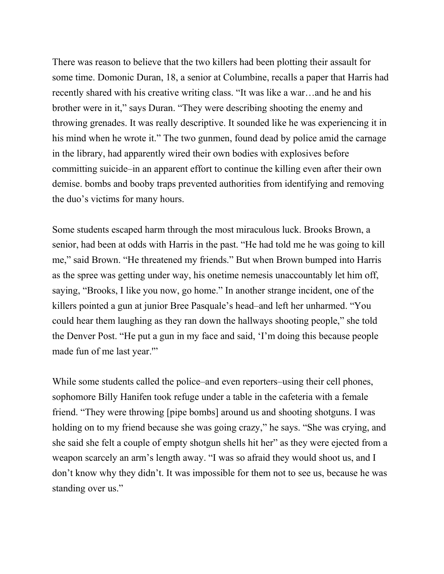There was reason to believe that the two killers had been plotting their assault for some time. Domonic Duran, 18, a senior at Columbine, recalls a paper that Harris had recently shared with his creative writing class. "It was like a war…and he and his brother were in it," says Duran. "They were describing shooting the enemy and throwing grenades. It was really descriptive. It sounded like he was experiencing it in his mind when he wrote it." The two gunmen, found dead by police amid the carnage in the library, had apparently wired their own bodies with explosives before committing suicide–in an apparent effort to continue the killing even after their own demise. bombs and booby traps prevented authorities from identifying and removing the duo's victims for many hours.

Some students escaped harm through the most miraculous luck. Brooks Brown, a senior, had been at odds with Harris in the past. "He had told me he was going to kill me," said Brown. "He threatened my friends." But when Brown bumped into Harris as the spree was getting under way, his onetime nemesis unaccountably let him off, saying, "Brooks, I like you now, go home." In another strange incident, one of the killers pointed a gun at junior Bree Pasquale's head–and left her unharmed. "You could hear them laughing as they ran down the hallways shooting people," she told the Denver Post. "He put a gun in my face and said, 'I'm doing this because people made fun of me last year.'"

While some students called the police–and even reporters–using their cell phones, sophomore Billy Hanifen took refuge under a table in the cafeteria with a female friend. "They were throwing [pipe bombs] around us and shooting shotguns. I was holding on to my friend because she was going crazy," he says. "She was crying, and she said she felt a couple of empty shotgun shells hit her" as they were ejected from a weapon scarcely an arm's length away. "I was so afraid they would shoot us, and I don't know why they didn't. It was impossible for them not to see us, because he was standing over us."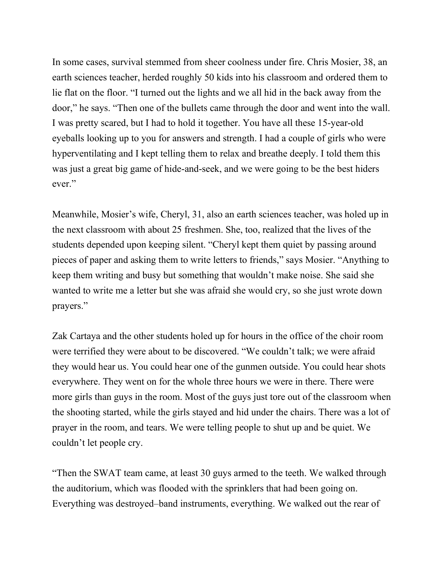In some cases, survival stemmed from sheer coolness under fire. Chris Mosier, 38, an earth sciences teacher, herded roughly 50 kids into his classroom and ordered them to lie flat on the floor. "I turned out the lights and we all hid in the back away from the door," he says. "Then one of the bullets came through the door and went into the wall. I was pretty scared, but I had to hold it together. You have all these 15-year-old eyeballs looking up to you for answers and strength. I had a couple of girls who were hyperventilating and I kept telling them to relax and breathe deeply. I told them this was just a great big game of hide-and-seek, and we were going to be the best hiders ever."

Meanwhile, Mosier's wife, Cheryl, 31, also an earth sciences teacher, was holed up in the next classroom with about 25 freshmen. She, too, realized that the lives of the students depended upon keeping silent. "Cheryl kept them quiet by passing around pieces of paper and asking them to write letters to friends," says Mosier. "Anything to keep them writing and busy but something that wouldn't make noise. She said she wanted to write me a letter but she was afraid she would cry, so she just wrote down prayers."

Zak Cartaya and the other students holed up for hours in the office of the choir room were terrified they were about to be discovered. "We couldn't talk; we were afraid they would hear us. You could hear one of the gunmen outside. You could hear shots everywhere. They went on for the whole three hours we were in there. There were more girls than guys in the room. Most of the guys just tore out of the classroom when the shooting started, while the girls stayed and hid under the chairs. There was a lot of prayer in the room, and tears. We were telling people to shut up and be quiet. We couldn't let people cry.

"Then the SWAT team came, at least 30 guys armed to the teeth. We walked through the auditorium, which was flooded with the sprinklers that had been going on. Everything was destroyed–band instruments, everything. We walked out the rear of